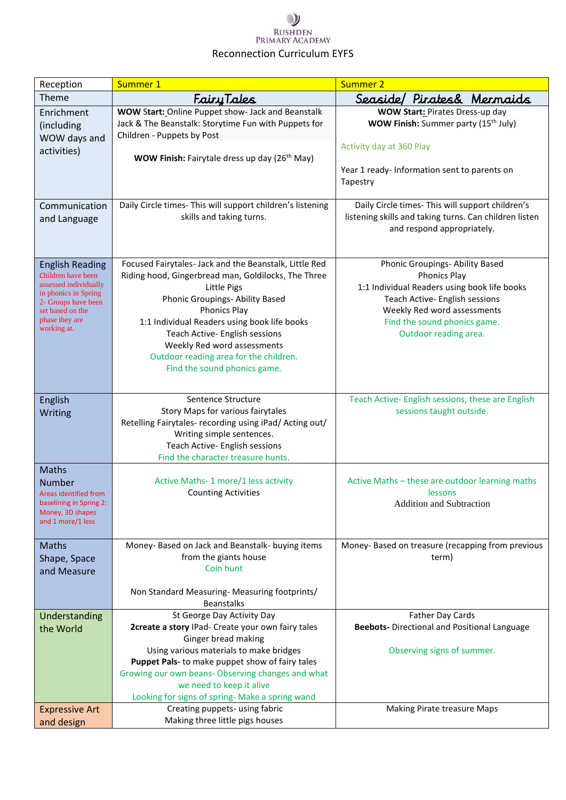## $\mathcal{Y}$ RUSHDEN<br>PRIMARY ACADEMY Reconnection Curriculum EYFS

| Reception                                                                                                                                                                 | Summer 1                                                                                                                                                                                                                                                                                                                                                                                 | <b>Summer 2</b>                                                                                                                                                                                                                  |
|---------------------------------------------------------------------------------------------------------------------------------------------------------------------------|------------------------------------------------------------------------------------------------------------------------------------------------------------------------------------------------------------------------------------------------------------------------------------------------------------------------------------------------------------------------------------------|----------------------------------------------------------------------------------------------------------------------------------------------------------------------------------------------------------------------------------|
| Theme                                                                                                                                                                     | FairyTales                                                                                                                                                                                                                                                                                                                                                                               | Seaside/<br>Pirates& Mermaids                                                                                                                                                                                                    |
| Enrichment<br>(including<br>WOW days and<br>activities)                                                                                                                   | WOW Start: Online Puppet show- Jack and Beanstalk<br>Jack & The Beanstalk: Storytime Fun with Puppets for<br>Children - Puppets by Post<br>WOW Finish: Fairytale dress up day (26 <sup>th</sup> May)                                                                                                                                                                                     | WOW Start: Pirates Dress-up day<br>WOW Finish: Summer party (15 <sup>th</sup> July)<br>Activity day at 360 Play<br>Year 1 ready- Information sent to parents on<br>Tapestry                                                      |
| Communication<br>and Language                                                                                                                                             | Daily Circle times- This will support children's listening<br>skills and taking turns.                                                                                                                                                                                                                                                                                                   | Daily Circle times- This will support children's<br>listening skills and taking turns. Can children listen<br>and respond appropriately.                                                                                         |
| <b>English Reading</b><br>Children have been<br>assessed individually<br>in phonics in Spring<br>2- Groups have been<br>set based on the<br>phase they are<br>working at. | Focused Fairytales- Jack and the Beanstalk, Little Red<br>Riding hood, Gingerbread man, Goldilocks, The Three<br><b>Little Pigs</b><br>Phonic Groupings- Ability Based<br><b>Phonics Play</b><br>1:1 Individual Readers using book life books<br>Teach Active- English sessions<br>Weekly Red word assessments<br>Outdoor reading area for the children.<br>Find the sound phonics game. | Phonic Groupings- Ability Based<br><b>Phonics Play</b><br>1:1 Individual Readers using book life books<br>Teach Active- English sessions<br>Weekly Red word assessments<br>Find the sound phonics game.<br>Outdoor reading area. |
| English<br>Writing                                                                                                                                                        | Sentence Structure<br>Story Maps for various fairytales<br>Retelling Fairytales- recording using iPad/ Acting out/<br>Writing simple sentences.<br>Teach Active- English sessions<br>Find the character treasure hunts.                                                                                                                                                                  | Teach Active- English sessions, these are English<br>sessions taught outside.                                                                                                                                                    |
| Maths<br>Number<br><b>Areas identified from</b><br>baselining in Spring 2:<br>Money, 3D shapes<br>and 1 more/1 less                                                       | Active Maths-1 more/1 less activity<br><b>Counting Activities</b>                                                                                                                                                                                                                                                                                                                        | Active Maths - these are outdoor learning maths<br>lessons<br>Addition and Subtraction                                                                                                                                           |
| <b>Maths</b><br>Shape, Space<br>and Measure                                                                                                                               | Money- Based on Jack and Beanstalk- buying items<br>from the giants house<br>Coin hunt<br>Non Standard Measuring- Measuring footprints/<br><b>Beanstalks</b>                                                                                                                                                                                                                             | Money- Based on treasure (recapping from previous<br>term)                                                                                                                                                                       |
| Understanding<br>the World                                                                                                                                                | St George Day Activity Day<br>2create a story IPad- Create your own fairy tales<br>Ginger bread making<br>Using various materials to make bridges<br>Puppet Pals- to make puppet show of fairy tales<br>Growing our own beans- Observing changes and what<br>we need to keep it alive<br>Looking for signs of spring- Make a spring wand                                                 | Father Day Cards<br><b>Beebots-</b> Directional and Positional Language<br>Observing signs of summer.                                                                                                                            |
| <b>Expressive Art</b><br>and design                                                                                                                                       | Creating puppets- using fabric<br>Making three little pigs houses                                                                                                                                                                                                                                                                                                                        | Making Pirate treasure Maps                                                                                                                                                                                                      |